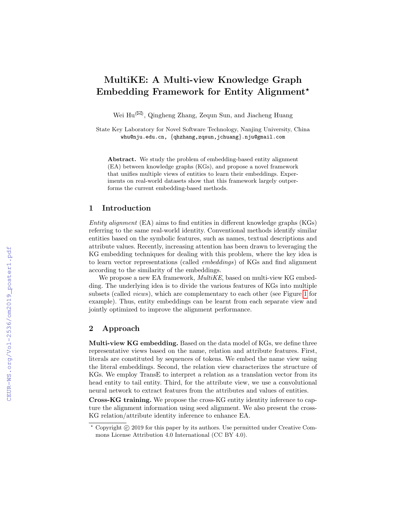# MultiKE: A Multi-view Knowledge Graph Embedding Framework for Entity Alignment?

Wei Hu<sup>( $\boxtimes$ )</sup>, Qingheng Zhang, Zequn Sun, and Jiacheng Huang

State Key Laboratory for Novel Software Technology, Nanjing University, China whu@nju.edu.cn, {qhzhang,zqsun,jchuang}.nju@gmail.com

Abstract. We study the problem of embedding-based entity alignment (EA) between knowledge graphs (KGs), and propose a novel framework that unifies multiple views of entities to learn their embeddings. Experiments on real-world datasets show that this framework largely outperforms the current embedding-based methods.

#### 1 Introduction

Entity alignment (EA) aims to find entities in different knowledge graphs (KGs) referring to the same real-world identity. Conventional methods identify similar entities based on the symbolic features, such as names, textual descriptions and attribute values. Recently, increasing attention has been drawn to leveraging the KG embedding techniques for dealing with this problem, where the key idea is to learn vector representations (called embeddings) of KGs and find alignment according to the similarity of the embeddings.

We propose a new EA framework, *MultiKE*, based on multi-view KG embedding. The underlying idea is to divide the various features of KGs into multiple subsets (called views), which are complementary to each other (see Figure [1](#page--1-0) for example). Thus, entity embeddings can be learnt from each separate view and jointly optimized to improve the alignment performance.

### 2 Approach

Multi-view KG embedding. Based on the data model of KGs, we define three representative views based on the name, relation and attribute features. First, literals are constituted by sequences of tokens. We embed the name view using the literal embeddings. Second, the relation view characterizes the structure of KGs. We employ TransE to interpret a relation as a translation vector from its head entity to tail entity. Third, for the attribute view, we use a convolutional neural network to extract features from the attributes and values of entities.

Cross-KG training. We propose the cross-KG entity identity inference to capture the alignment information using seed alignment. We also present the cross-KG relation/attribute identity inference to enhance EA.

 $*$  Copyright  $\circled{c}$  2019 for this paper by its authors. Use permitted under Creative Commons License Attribution 4.0 International (CC BY 4.0).